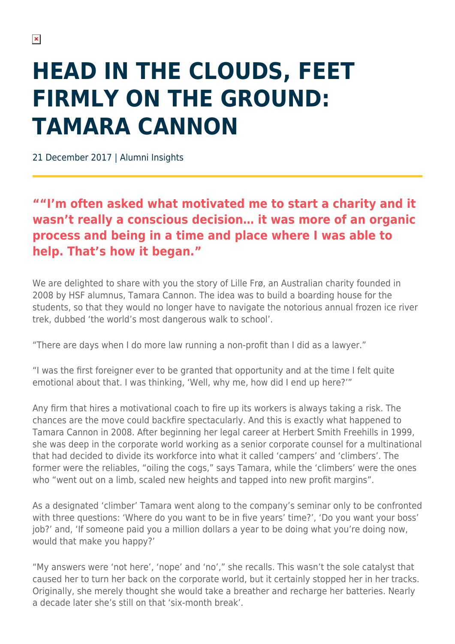## **HEAD IN THE CLOUDS, FEET FIRMLY ON THE GROUND: TAMARA CANNON**

21 December 2017 | Alumni Insights

## **""I'm often asked what motivated me to start a charity and it wasn't really a conscious decision… it was more of an organic process and being in a time and place where I was able to help. That's how it began."**

We are delighted to share with you the story of Lille Frø, an Australian charity founded in 2008 by HSF alumnus, Tamara Cannon. The idea was to build a boarding house for the students, so that they would no longer have to navigate the notorious annual frozen ice river trek, dubbed 'the world's most dangerous walk to school'.

"There are days when I do more law running a non-profit than I did as a lawyer."

"I was the first foreigner ever to be granted that opportunity and at the time I felt quite emotional about that. I was thinking, 'Well, why me, how did I end up here?'"

Any firm that hires a motivational coach to fire up its workers is always taking a risk. The chances are the move could backfire spectacularly. And this is exactly what happened to Tamara Cannon in 2008. After beginning her legal career at Herbert Smith Freehills in 1999, she was deep in the corporate world working as a senior corporate counsel for a multinational that had decided to divide its workforce into what it called 'campers' and 'climbers'. The former were the reliables, "oiling the cogs," says Tamara, while the 'climbers' were the ones who "went out on a limb, scaled new heights and tapped into new profit margins".

As a designated 'climber' Tamara went along to the company's seminar only to be confronted with three questions: 'Where do you want to be in five years' time?', 'Do you want your boss' job?' and, 'If someone paid you a million dollars a year to be doing what you're doing now, would that make you happy?'

"My answers were 'not here', 'nope' and 'no'," she recalls. This wasn't the sole catalyst that caused her to turn her back on the corporate world, but it certainly stopped her in her tracks. Originally, she merely thought she would take a breather and recharge her batteries. Nearly a decade later she's still on that 'six-month break'.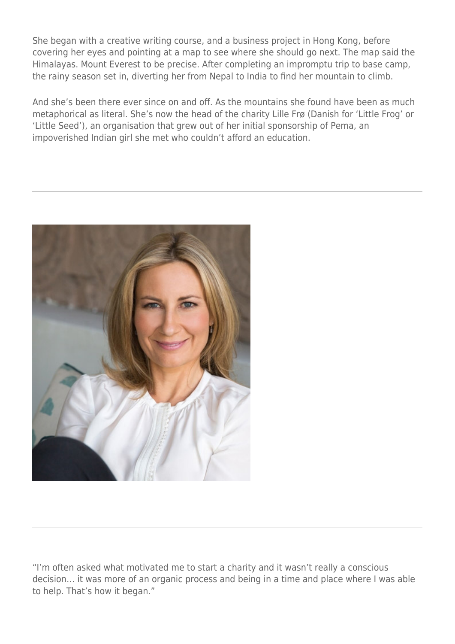She began with a creative writing course, and a business project in Hong Kong, before covering her eyes and pointing at a map to see where she should go next. The map said the Himalayas. Mount Everest to be precise. After completing an impromptu trip to base camp, the rainy season set in, diverting her from Nepal to India to find her mountain to climb.

And she's been there ever since on and off. As the mountains she found have been as much metaphorical as literal. She's now the head of the charity Lille Frø (Danish for 'Little Frog' or 'Little Seed'), an organisation that grew out of her initial sponsorship of Pema, an impoverished Indian girl she met who couldn't afford an education.



"I'm often asked what motivated me to start a charity and it wasn't really a conscious decision… it was more of an organic process and being in a time and place where I was able to help. That's how it began."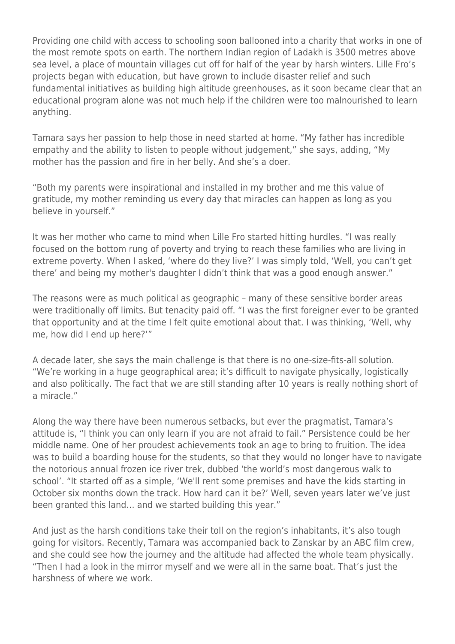Providing one child with access to schooling soon ballooned into a charity that works in one of the most remote spots on earth. The northern Indian region of Ladakh is 3500 metres above sea level, a place of mountain villages cut off for half of the year by harsh winters. Lille Fro's projects began with education, but have grown to include disaster relief and such fundamental initiatives as building high altitude greenhouses, as it soon became clear that an educational program alone was not much help if the children were too malnourished to learn anything.

Tamara says her passion to help those in need started at home. "My father has incredible empathy and the ability to listen to people without judgement," she says, adding, "My mother has the passion and fire in her belly. And she's a doer.

"Both my parents were inspirational and installed in my brother and me this value of gratitude, my mother reminding us every day that miracles can happen as long as you believe in yourself."

It was her mother who came to mind when Lille Fro started hitting hurdles. "I was really focused on the bottom rung of poverty and trying to reach these families who are living in extreme poverty. When I asked, 'where do they live?' I was simply told, 'Well, you can't get there' and being my mother's daughter I didn't think that was a good enough answer."

The reasons were as much political as geographic – many of these sensitive border areas were traditionally off limits. But tenacity paid off. "I was the first foreigner ever to be granted that opportunity and at the time I felt quite emotional about that. I was thinking, 'Well, why me, how did I end up here?'"

A decade later, she says the main challenge is that there is no one-size-fits-all solution. "We're working in a huge geographical area; it's difficult to navigate physically, logistically and also politically. The fact that we are still standing after 10 years is really nothing short of a miracle."

Along the way there have been numerous setbacks, but ever the pragmatist, Tamara's attitude is, "I think you can only learn if you are not afraid to fail." Persistence could be her middle name. One of her proudest achievements took an age to bring to fruition. The idea was to build a boarding house for the students, so that they would no longer have to navigate the notorious annual frozen ice river trek, dubbed 'the world's most dangerous walk to school'. "It started off as a simple, 'We'll rent some premises and have the kids starting in October six months down the track. How hard can it be?' Well, seven years later we've just been granted this land… and we started building this year."

And just as the harsh conditions take their toll on the region's inhabitants, it's also tough going for visitors. Recently, Tamara was accompanied back to Zanskar by an ABC film crew, and she could see how the journey and the altitude had affected the whole team physically. "Then I had a look in the mirror myself and we were all in the same boat. That's just the harshness of where we work.